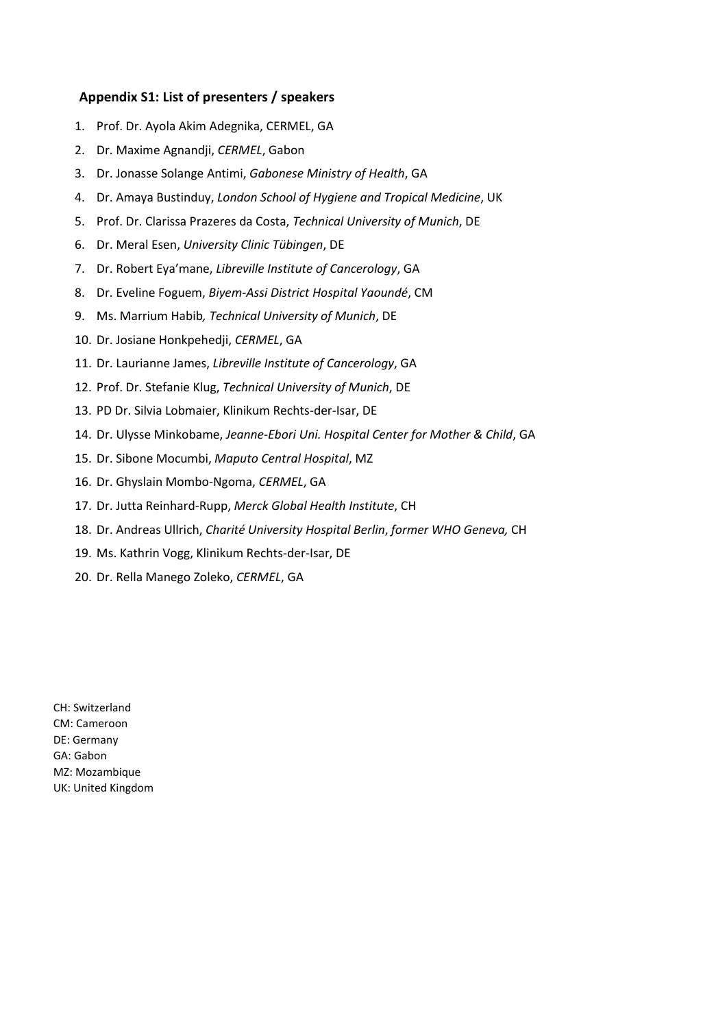## **Appendix S1: List of presenters / speakers**

- 1. Prof. Dr. Ayola Akim Adegnika, CERMEL, GA
- 2. Dr. Maxime Agnandji, *CERMEL*, Gabon
- 3. Dr. Jonasse Solange Antimi, *Gabonese Ministry of Health*, GA
- 4. Dr. Amaya Bustinduy, *London School of Hygiene and Tropical Medicine*, UK
- 5. Prof. Dr. Clarissa Prazeres da Costa, *Technical University of Munich*, DE
- 6. Dr. Meral Esen, *University Clinic Tübingen*, DE
- 7. Dr. Robert Eya'mane, *Libreville Institute of Cancerology*, GA
- 8. Dr. Eveline Foguem, *Biyem-Assi District Hospital Yaoundé*, CM
- 9. Ms. Marrium Habib*, Technical University of Munich*, DE
- 10. Dr. Josiane Honkpehedji, *CERMEL*, GA
- 11. Dr. Laurianne James, *Libreville Institute of Cancerology*, GA
- 12. Prof. Dr. Stefanie Klug, *Technical University of Munich*, DE
- 13. PD Dr. Silvia Lobmaier, Klinikum Rechts-der-Isar, DE
- 14. Dr. Ulysse Minkobame, *Jeanne-Ebori Uni. Hospital Center for Mother & Child*, GA
- 15. Dr. Sibone Mocumbi, *Maputo Central Hospital*, MZ
- 16. Dr. Ghyslain Mombo-Ngoma, *CERMEL*, GA
- 17. Dr. Jutta Reinhard-Rupp, *Merck Global Health Institute*, CH
- 18. Dr. Andreas Ullrich, *Charité University Hospital Berlin*, *former WHO Geneva,* CH
- 19. Ms. Kathrin Vogg, Klinikum Rechts-der-Isar, DE
- 20. Dr. Rella Manego Zoleko, *CERMEL*, GA

CH: Switzerland CM: Cameroon DE: Germany GA: Gabon MZ: Mozambique UK: United Kingdom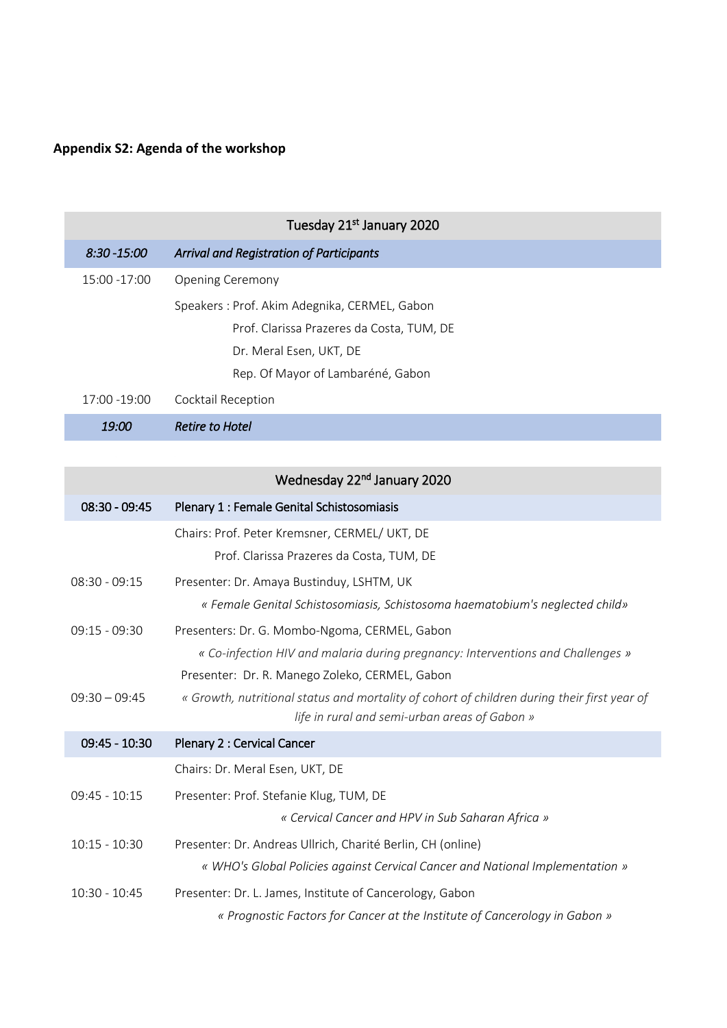## **Appendix S2: Agenda of the workshop**

| Tuesday 21 <sup>st</sup> January 2020 |                                                 |  |  |
|---------------------------------------|-------------------------------------------------|--|--|
| $8:30 - 15:00$                        | <b>Arrival and Registration of Participants</b> |  |  |
| 15:00 -17:00                          | <b>Opening Ceremony</b>                         |  |  |
|                                       | Speakers: Prof. Akim Adegnika, CERMEL, Gabon    |  |  |
|                                       | Prof. Clarissa Prazeres da Costa, TUM, DE       |  |  |
|                                       | Dr. Meral Esen, UKT, DE                         |  |  |
|                                       | Rep. Of Mayor of Lambaréné, Gabon               |  |  |
| 17:00 -19:00                          | Cocktail Reception                              |  |  |
| 19:00                                 | <b>Retire to Hotel</b>                          |  |  |

|                 | Wednesday 22 <sup>nd</sup> January 2020                                                                                                      |
|-----------------|----------------------------------------------------------------------------------------------------------------------------------------------|
| $08:30 - 09:45$ | Plenary 1 : Female Genital Schistosomiasis                                                                                                   |
|                 | Chairs: Prof. Peter Kremsner, CERMEL/ UKT, DE                                                                                                |
|                 | Prof. Clarissa Prazeres da Costa, TUM, DE                                                                                                    |
| $08:30 - 09:15$ | Presenter: Dr. Amaya Bustinduy, LSHTM, UK                                                                                                    |
|                 | « Female Genital Schistosomiasis, Schistosoma haematobium's neglected child»                                                                 |
| $09:15 - 09:30$ | Presenters: Dr. G. Mombo-Ngoma, CERMEL, Gabon                                                                                                |
|                 | « Co-infection HIV and malaria during pregnancy: Interventions and Challenges »                                                              |
|                 | Presenter: Dr. R. Manego Zoleko, CERMEL, Gabon                                                                                               |
| $09:30 - 09:45$ | « Growth, nutritional status and mortality of cohort of children during their first year of<br>life in rural and semi-urban areas of Gabon » |
| $09:45 - 10:30$ | Plenary 2 : Cervical Cancer                                                                                                                  |
|                 | Chairs: Dr. Meral Esen, UKT, DE                                                                                                              |
| $09:45 - 10:15$ | Presenter: Prof. Stefanie Klug, TUM, DE                                                                                                      |
|                 | « Cervical Cancer and HPV in Sub Saharan Africa »                                                                                            |
| $10:15 - 10:30$ | Presenter: Dr. Andreas Ullrich, Charité Berlin, CH (online)                                                                                  |
|                 | « WHO's Global Policies against Cervical Cancer and National Implementation »                                                                |
| $10:30 - 10:45$ | Presenter: Dr. L. James, Institute of Cancerology, Gabon                                                                                     |
|                 | « Prognostic Factors for Cancer at the Institute of Cancerology in Gabon »                                                                   |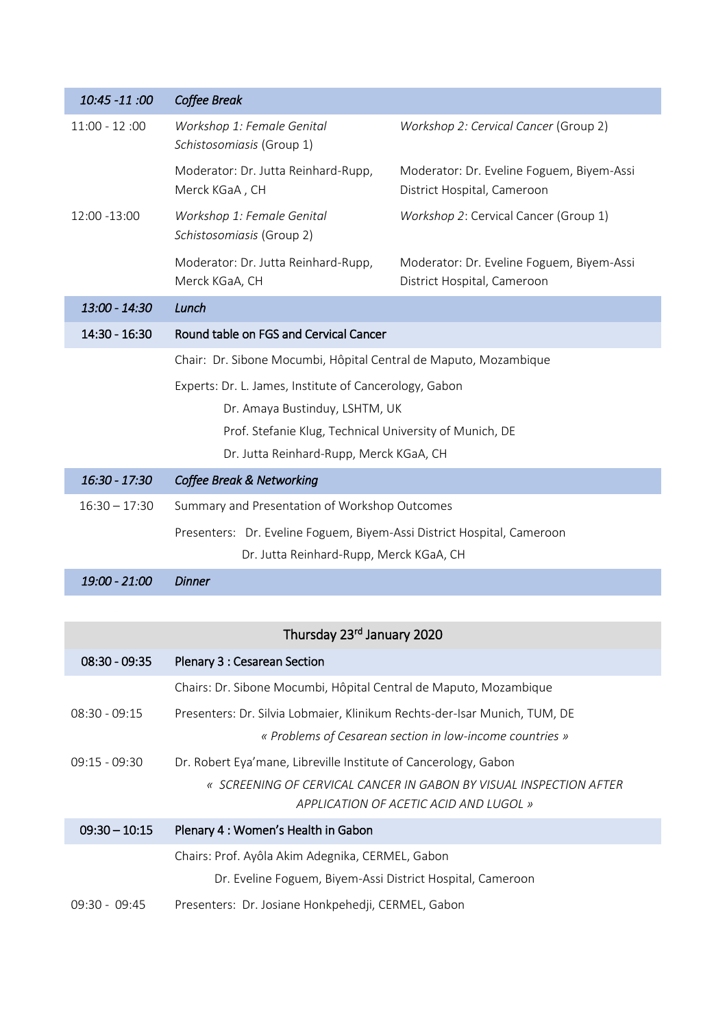| 10:45 -11:00    | <b>Coffee Break</b>                                                    |                                                                          |
|-----------------|------------------------------------------------------------------------|--------------------------------------------------------------------------|
| $11:00 - 12:00$ | Workshop 1: Female Genital<br>Schistosomiasis (Group 1)                | Workshop 2: Cervical Cancer (Group 2)                                    |
|                 | Moderator: Dr. Jutta Reinhard-Rupp,<br>Merck KGaA, CH                  | Moderator: Dr. Eveline Foguem, Biyem-Assi<br>District Hospital, Cameroon |
| 12:00 -13:00    | Workshop 1: Female Genital<br>Schistosomiasis (Group 2)                | Workshop 2: Cervical Cancer (Group 1)                                    |
|                 | Moderator: Dr. Jutta Reinhard-Rupp,<br>Merck KGaA, CH                  | Moderator: Dr. Eveline Foguem, Biyem-Assi<br>District Hospital, Cameroon |
| 13:00 - 14:30   | Lunch                                                                  |                                                                          |
| 14:30 - 16:30   | Round table on FGS and Cervical Cancer                                 |                                                                          |
|                 | Chair: Dr. Sibone Mocumbi, Hôpital Central de Maputo, Mozambique       |                                                                          |
|                 | Experts: Dr. L. James, Institute of Cancerology, Gabon                 |                                                                          |
|                 | Dr. Amaya Bustinduy, LSHTM, UK                                         |                                                                          |
|                 | Prof. Stefanie Klug, Technical University of Munich, DE                |                                                                          |
|                 | Dr. Jutta Reinhard-Rupp, Merck KGaA, CH                                |                                                                          |
| 16:30 - 17:30   | <b>Coffee Break &amp; Networking</b>                                   |                                                                          |
| $16:30 - 17:30$ | Summary and Presentation of Workshop Outcomes                          |                                                                          |
|                 | Presenters: Dr. Eveline Foguem, Biyem-Assi District Hospital, Cameroon |                                                                          |
|                 | Dr. Jutta Reinhard-Rupp, Merck KGaA, CH                                |                                                                          |
| 19:00 - 21:00   | <b>Dinner</b>                                                          |                                                                          |

| Thursday 23rd January 2020 |  |  |  |
|----------------------------|--|--|--|
|----------------------------|--|--|--|

| $08:30 - 09:35$ | Plenary 3 : Cesarean Section                                                                                 |
|-----------------|--------------------------------------------------------------------------------------------------------------|
|                 | Chairs: Dr. Sibone Mocumbi, Hôpital Central de Maputo, Mozambique                                            |
| $08:30 - 09:15$ | Presenters: Dr. Silvia Lobmaier, Klinikum Rechts-der-Isar Munich, TUM, DE                                    |
|                 | « Problems of Cesarean section in low-income countries »                                                     |
| $09:15 - 09:30$ | Dr. Robert Eya'mane, Libreville Institute of Cancerology, Gabon                                              |
|                 | « SCREENING OF CERVICAL CANCER IN GABON BY VISUAL INSPECTION AFTER<br>APPLICATION OF ACETIC ACID AND LUGOL » |
| $09:30 - 10:15$ | Plenary 4 : Women's Health in Gabon                                                                          |
|                 | Chairs: Prof. Ayôla Akim Adegnika, CERMEL, Gabon                                                             |
|                 | Dr. Eveline Foguem, Biyem-Assi District Hospital, Cameroon                                                   |
| $09:30 - 09:45$ | Presenters: Dr. Josiane Honkpehedji, CERMEL, Gabon                                                           |